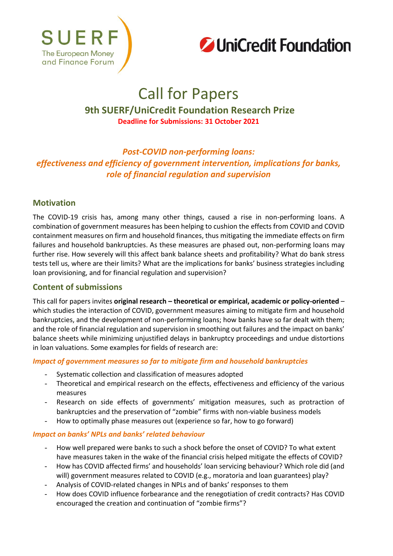



# Call for Papers

# **9th SUERF/UniCredit Foundation Research Prize Deadline for Submissions: 31 October 2021**

# *Post-COVID non-performing loans: effectiveness and efficiency of government intervention, implications for banks, role of financial regulation and supervision*

## **Motivation**

The COVID-19 crisis has, among many other things, caused a rise in non-performing loans. A combination of government measures has been helping to cushion the effects from COVID and COVID containment measures on firm and household finances, thus mitigating the immediate effects on firm failures and household bankruptcies. As these measures are phased out, non-performing loans may further rise. How severely will this affect bank balance sheets and profitability? What do bank stress tests tell us, where are their limits? What are the implications for banks' business strategies including loan provisioning, and for financial regulation and supervision?

## **Content of submissions**

This call for papers invites **original research – theoretical or empirical, academic or policy-oriented** – which studies the interaction of COVID, government measures aiming to mitigate firm and household bankruptcies, and the development of non-performing loans; how banks have so far dealt with them; and the role of financial regulation and supervision in smoothing out failures and the impact on banks' balance sheets while minimizing unjustified delays in bankruptcy proceedings and undue distortions in loan valuations. Some examples for fields of research are:

### *Impact of government measures so far to mitigate firm and household bankruptcies*

- Systematic collection and classification of measures adopted
- Theoretical and empirical research on the effects, effectiveness and efficiency of the various measures
- Research on side effects of governments' mitigation measures, such as protraction of bankruptcies and the preservation of "zombie" firms with non-viable business models
- How to optimally phase measures out (experience so far, how to go forward)

#### *Impact on banks' NPLs and banks' related behaviour*

- How well prepared were banks to such a shock before the onset of COVID? To what extent have measures taken in the wake of the financial crisis helped mitigate the effects of COVID?
- How has COVID affected firms' and households' loan servicing behaviour? Which role did (and will) government measures related to COVID (e.g., moratoria and loan guarantees) play?
- Analysis of COVID-related changes in NPLs and of banks' responses to them
- How does COVID influence forbearance and the renegotiation of credit contracts? Has COVID encouraged the creation and continuation of "zombie firms"?